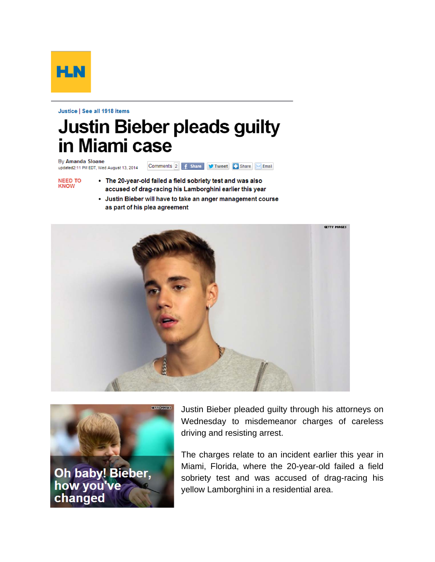

Justice | See all 1918 items

## **Justin Bieber pleads guilty** in Miami case

By Amanda Sloane Comments 2 | f Share | Tweet | Share | Smail updated2:11 PM EDT, Wed August 13, 2014

- **NEED TO KNOW**
- The 20-year-old failed a field sobriety test and was also accused of drag-racing his Lamborghini earlier this year
- Justin Bieber will have to take an anger management course as part of his plea agreement





Justin Bieber pleaded guilty through his attorneys on Wednesday to misdemeanor charges of careless driving and resisting arrest.

The charges relate to an incident earlier this year in Miami, Florida, where the 20-year-old failed a field sobriety test and was accused of drag-racing his yellow Lamborghini in a residential area.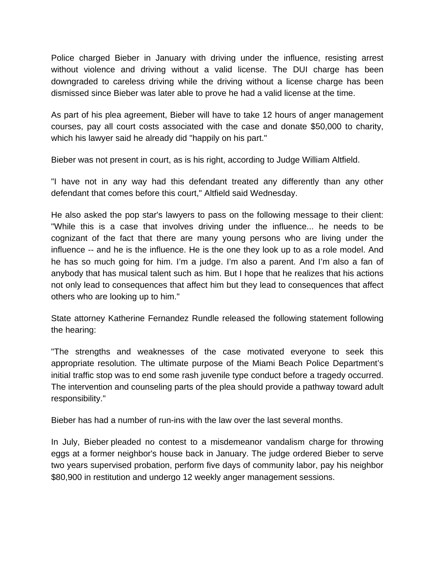Police charged Bieber in January with driving under the influence, resisting arrest without violence and driving without a valid license. The DUI charge has been downgraded to careless driving while the driving without a license charge has been dismissed since Bieber was later able to prove he had a valid license at the time.

As part of his plea agreement, Bieber will have to take 12 hours of anger management courses, pay all court costs associated with the case and donate \$50,000 to charity, which his lawyer said he already did "happily on his part."

Bieber was not present in court, as is his right, according to Judge William Altfield.

"I have not in any way had this defendant treated any differently than any other defendant that comes before this court," Altfield said Wednesday.

He also asked the pop star's lawyers to pass on the following message to their client: "While this is a case that involves driving under the influence... he needs to be cognizant of the fact that there are many young persons who are living under the influence -- and he is the influence. He is the one they look up to as a role model. And he has so much going for him. I'm a judge. I'm also a parent. And I'm also a fan of anybody that has musical talent such as him. But I hope that he realizes that his actions not only lead to consequences that affect him but they lead to consequences that affect others who are looking up to him."

State attorney Katherine Fernandez Rundle released the following statement following the hearing:

"The strengths and weaknesses of the case motivated everyone to seek this appropriate resolution. The ultimate purpose of the Miami Beach Police Department's initial traffic stop was to end some rash juvenile type conduct before a tragedy occurred. The intervention and counseling parts of the plea should provide a pathway toward adult responsibility."

Bieber has had a number of run-ins with the law over the last several months.

In July, Bieber pleaded no contest to a misdemeanor vandalism charge for throwing eggs at a former neighbor's house back in January. The judge ordered Bieber to serve two years supervised probation, perform five days of community labor, pay his neighbor \$80,900 in restitution and undergo 12 weekly anger management sessions.